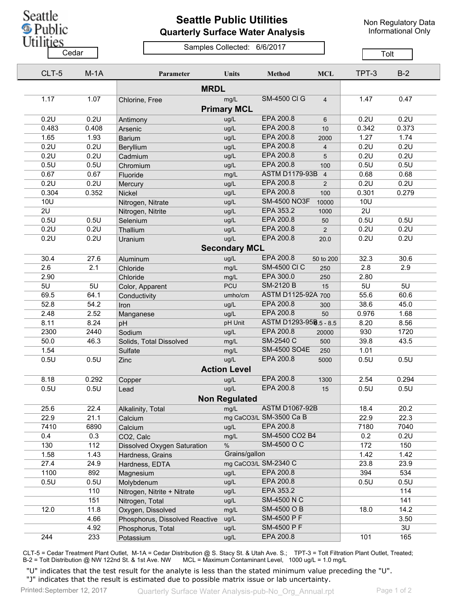

## **Seattle Public Utilities Quarterly Surface Water Analysis**

Non Regulatory Data Informational Only

## Samples Collected: 6/6/2017 Cedar **Cedar** Cedar Center Constitution of Tolt

| CLT-5        | $M-1A$ | Parameter                      | Units                       | <b>Method</b>                         | <b>MCL</b>     | TPT-3       | $B-2$        |
|--------------|--------|--------------------------------|-----------------------------|---------------------------------------|----------------|-------------|--------------|
|              |        | <b>MRDL</b>                    |                             |                                       |                |             |              |
| 1.17         | 1.07   | Chlorine, Free                 | mg/L<br><b>Primary MCL</b>  | <b>SM-4500 CI G</b>                   | $\overline{4}$ | 1.47        | 0.47         |
| 0.2U         | 0.2U   | Antimony                       | ug/L                        | EPA 200.8                             | 6              | 0.2U        | 0.2U         |
| 0.483        | 0.408  | Arsenic                        | ug/L                        | EPA 200.8                             | 10             | 0.342       | 0.373        |
| 1.65         | 1.93   | <b>Barium</b>                  | ug/L                        | EPA 200.8                             | 2000           | 1.27        | 1.74         |
| 0.2U         | 0.2U   | Beryllium                      | ug/L                        | EPA 200.8                             | $\overline{4}$ | 0.2U        | 0.2U         |
| 0.2U         | 0.2U   | Cadmium                        | ug/L                        | EPA 200.8                             | 5              | 0.2U        | 0.2U         |
| 0.5U         | 0.5U   | Chromium                       | ug/L                        | EPA 200.8                             | 100            | 0.5U        | 0.5U         |
| 0.67         | 0.67   | Fluoride                       | mg/L                        | ASTM D1179-93B 4                      |                | 0.68        | 0.68         |
| 0.2U         | 0.2U   | Mercury                        | ug/L                        | EPA 200.8                             | $\overline{2}$ | 0.2U        | 0.2U         |
| 0.304        | 0.352  | Nickel                         | ug/L                        | EPA 200.8                             | 100            | 0.301       | 0.279        |
| 10U          |        | Nitrogen, Nitrate              | ug/L                        | <b>SM-4500 NO3F</b>                   | 10000          | 10U         |              |
| 2U           |        | Nitrogen, Nitrite              | ug/L                        | EPA 353.2                             | 1000           | 2U          |              |
| 0.5U         | 0.5U   | Selenium                       | ug/L                        | EPA 200.8                             | 50             | 0.5U        | 0.5U         |
| 0.2U         | 0.2U   | Thallium                       | ug/L                        | EPA 200.8                             | $\overline{2}$ | 0.2U        | 0.2U         |
| 0.2U         | 0.2U   | Uranium                        | ug/L                        | EPA 200.8                             | 20.0           | 0.2U        | 0.2U         |
|              |        |                                | <b>Secondary MCL</b>        |                                       |                |             |              |
| 30.4         | 27.6   | Aluminum                       | ug/L                        | EPA 200.8                             | 50 to 200      | 32.3        | 30.6         |
| 2.6          | 2.1    | Chloride                       | mg/L                        | <b>SM-4500 CI C</b>                   | 250            | 2.8         | 2.9          |
| 2.90         |        | Chloride                       | mg/L                        | EPA 300.0                             | 250            | 2.80        |              |
| 5U           | 5U     |                                | <b>PCU</b>                  | <b>SM-2120 B</b>                      | 15             | 5U          | 5U           |
| 69.5         | 64.1   | Color, Apparent                | umho/cm                     | ASTM D1125-92A 700                    |                | 55.6        | 60.6         |
| 52.8         | 54.2   | Conductivity                   | ug/L                        | EPA 200.8                             | 300            | 38.6        | 45.0         |
|              | 2.52   | Iron                           |                             | EPA 200.8                             |                | 0.976       |              |
| 2.48         | 8.24   | Manganese                      | ug/L<br>pH Unit             | ASTM D1293-958.5 - 8.5                | 50             | 8.20        | 1.68         |
| 8.11<br>2300 |        | pH                             |                             | EPA 200.8                             |                | 930         | 8.56<br>1720 |
|              | 2440   | Sodium                         | ug/L                        | SM-2540 C                             | 20000          |             |              |
| 50.0         | 46.3   | Solids, Total Dissolved        | mg/L                        | <b>SM-4500 SO4E</b>                   | 500            | 39.8        | 43.5         |
| 1.54         |        | Sulfate                        | mg/L                        |                                       | 250            | 1.01        |              |
| 0.5U         | 0.5U   | Zinc                           | ug/L<br><b>Action Level</b> | EPA 200.8                             | 5000           | 0.5U        | 0.5U         |
| 8.18         | 0.292  | Copper                         | ug/L                        | EPA 200.8                             | 1300           | 2.54        | 0.294        |
| 0.5U         | 0.5U   | Lead                           | ug/L                        | EPA 200.8                             | 15             | 0.5U        | 0.5U         |
|              |        |                                | <b>Non Requlated</b>        |                                       |                |             |              |
|              |        |                                |                             | <b>ASTM D1067-92B</b>                 |                |             |              |
| 25.6         | 22.4   | Alkalinity, Total              | mg/L                        | mg CaCO3/L SM-3500 Ca B               |                | 18.4        | 20.2         |
| 22.9         | 21.1   | Calcium                        |                             | EPA 200.8                             |                | 22.9        | 22.3         |
| 7410         | 6890   | Calcium                        | ug/L                        | SM-4500 CO2 B4                        |                | 7180        | 7040         |
| 0.4          | 0.3    | CO2, Calc                      | mg/L                        |                                       |                | 0.2         | 0.2U         |
| 130          | 112    | Dissolved Oxygen Saturation    | $\%$                        | SM-4500 O C                           |                | 172<br>1.42 | 150          |
| 1.58         | 1.43   | Hardness, Grains               |                             | Grains/gallon<br>mg CaCO3/L SM-2340 C |                |             | 1.42         |
| 27.4         | 24.9   | Hardness, EDTA                 |                             |                                       |                | 23.8        | 23.9         |
| 1100         | 892    | Magnesium                      | ug/L                        | EPA 200.8                             |                | 394         | 534          |
| 0.5U         | 0.5U   | Molybdenum                     | ug/L                        | EPA 200.8                             |                | 0.5U        | 0.5U         |
|              | 110    | Nitrogen, Nitrite + Nitrate    | ug/L                        | EPA 353.2                             |                |             | 114          |
|              | 151    | Nitrogen, Total                | ug/L                        | <b>SM-4500 N C</b>                    |                |             | 141          |
| 12.0         | 11.8   | Oxygen, Dissolved              | mg/L                        | SM-4500 O B                           |                | 18.0        | 14.2         |
|              | 4.66   | Phosphorus, Dissolved Reactive | ug/L                        | SM-4500 P F                           |                |             | 3.50         |
|              | 4.92   | Phosphorus, Total              | ug/L                        | SM-4500 P F                           |                |             | 3U           |
| 244          | 233    | Potassium                      | ug/L                        | EPA 200.8                             |                | 101         | 165          |

CLT-5 = Cedar Treatment Plant Outlet, M-1A = Cedar Distribution @ S. Stacy St. & Utah Ave. S.; TPT-3 = Tolt Filtration Plant Outlet, Treated; B-2 = Tolt Distribution @ NW 122nd St. & 1st Ave. NW MCL = Maximum Contaminant Level, 1000 ug/L = 1.0 mg/L

"U" indicates that the test result for the analyte is less than the stated minimum value preceding the "U". "J" indicates that the result is estimated due to possible matrix issue or lab uncertainty.